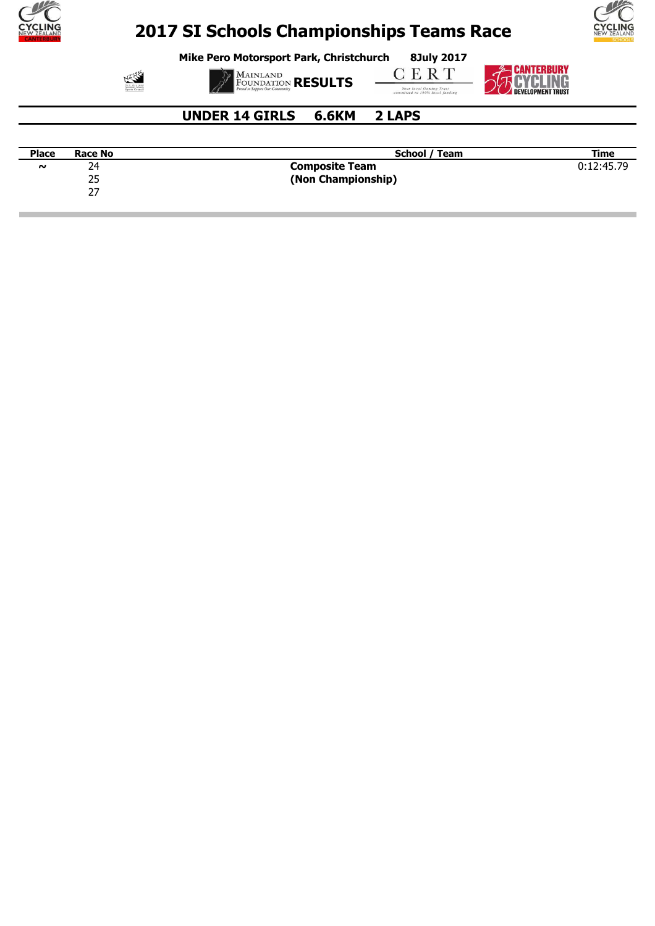

**Mike Pero Motorsport Park, Christchurch 8July 2017**





**MAINLAND**<br>FOUNDATION **RESULTS** 

**CERT Tour local Gaming Trust**<br>committed to 100% local funding



### **UNDER 14 GIRLS 6.6KM 2 LAPS**

| <b>Place</b> | <b>Race No</b> | School / Team         | Time       |
|--------------|----------------|-----------------------|------------|
| $\sim$       | 24             | <b>Composite Team</b> | 0:12:45.79 |
|              | つに<br>رے       | (Non Championship)    |            |
|              | - '            |                       |            |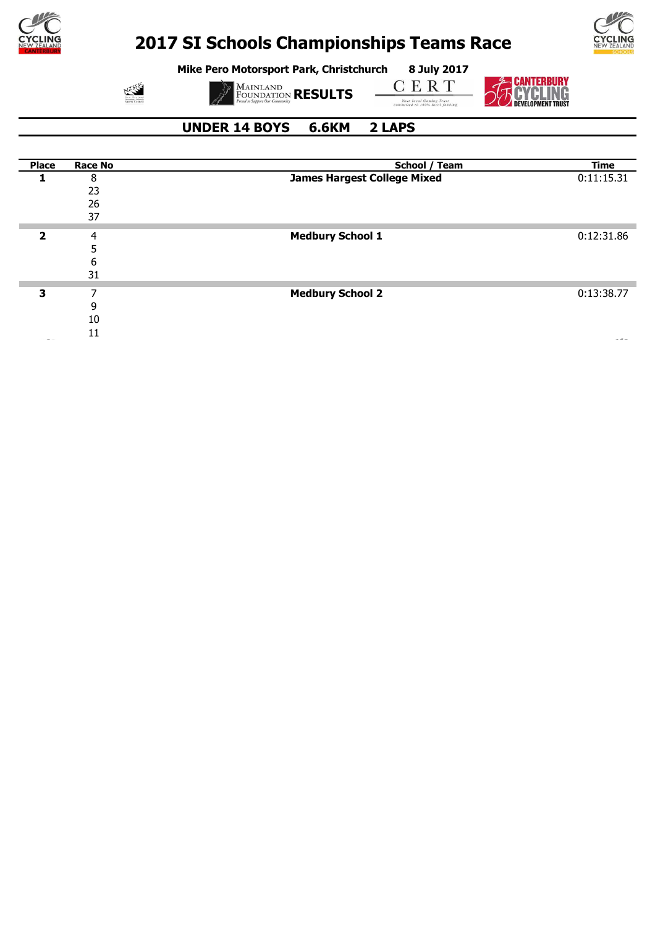



**Mike Pero Motorsport Park, Christchurch 8 July 2017**

 $\sum_{\substack{\text{Scc} \\ \text{Sccendry}, \text{Sefmoly}}}$ 

**MAINLAND**<br>FOUNDATION **RESULTS** 

 $C E R T$ **Four local Gaming Trust**<br>committed to 100% local funding



 **UNDER 14 BOYS 6.6KM 2 LAPS**

| <b>Place</b> | <b>Race No</b> | School / Team                      | <b>Time</b> |
|--------------|----------------|------------------------------------|-------------|
|              | 8              | <b>James Hargest College Mixed</b> | 0:11:15.31  |
|              | 23             |                                    |             |
|              | 26             |                                    |             |
|              | 37             |                                    |             |
| 2            | 4              | <b>Medbury School 1</b>            | 0:12:31.86  |
|              |                |                                    |             |
|              | 6              |                                    |             |
|              | 31             |                                    |             |
| 3            | 7              | <b>Medbury School 2</b>            | 0:13:38.77  |
|              | 9              |                                    |             |
|              | 10             |                                    |             |
|              | 11             |                                    |             |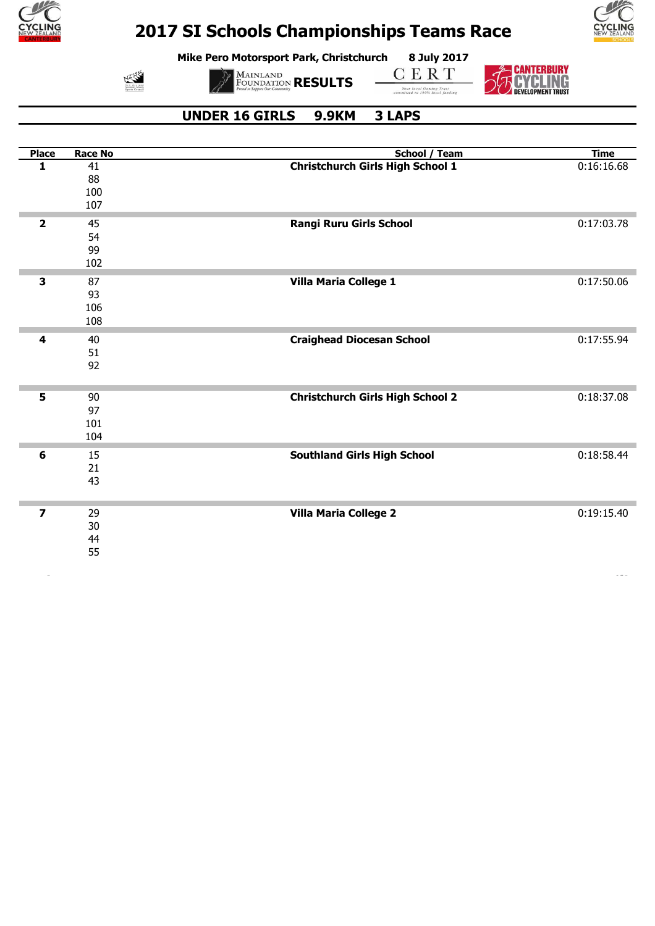

**Mike Pero Motorsport Park, Christchurch 8 July 2017**



**MAINLAND**<br>FOUNDATION **RESULTS** 

**CERT** 

**Tour local Gaming Trust**<br>committed to 100% local funding



CANTERBURY

#### **UNDER 16 GIRLS 9.9KM 3 LAPS**

| <b>Place</b>    | <b>Race No</b> | <b>School / Team</b>                    | <b>Time</b> |
|-----------------|----------------|-----------------------------------------|-------------|
| 1               | 41             | <b>Christchurch Girls High School 1</b> | 0:16:16.68  |
|                 | 88             |                                         |             |
|                 | 100            |                                         |             |
|                 | 107            |                                         |             |
| $\mathbf{2}$    | 45             | Rangi Ruru Girls School                 | 0:17:03.78  |
|                 | 54             |                                         |             |
|                 | 99             |                                         |             |
|                 | 102            |                                         |             |
| 3               | 87             | Villa Maria College 1                   | 0:17:50.06  |
|                 | 93             |                                         |             |
|                 | 106            |                                         |             |
|                 | 108            |                                         |             |
| 4               | 40             | <b>Craighead Diocesan School</b>        | 0:17:55.94  |
|                 | 51             |                                         |             |
|                 | 92             |                                         |             |
|                 |                |                                         |             |
| 5               | 90             | <b>Christchurch Girls High School 2</b> | 0:18:37.08  |
|                 | 97             |                                         |             |
|                 | 101            |                                         |             |
|                 | 104            |                                         |             |
| $6\phantom{1}6$ | 15             | <b>Southland Girls High School</b>      | 0:18:58.44  |
|                 | 21             |                                         |             |
|                 | 43             |                                         |             |
|                 |                |                                         |             |
| $\overline{z}$  | 29             | <b>Villa Maria College 2</b>            | 0:19:15.40  |
|                 | 30             |                                         |             |
|                 | 44             |                                         |             |
|                 | 55             |                                         |             |
|                 |                |                                         |             |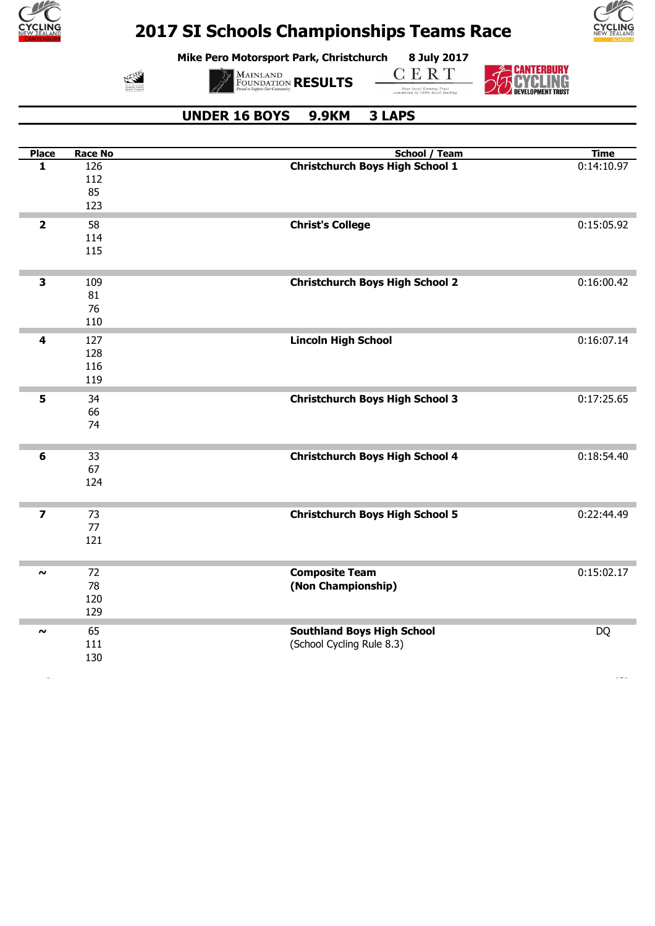

N3555

### **2017 SI Schools Championships Teams Race**

**Mike Pero Motorsport Park, Christchurch 8 July 2017**



**CERT** 

**BEANTERBURY<br>BEAVELING Tour local Gaming Trust**<br>committed to 100% local funding



#### **UNDER 16 BOYS 9.9KM 3 LAPS**

**MAINLAND**<br>FOUNDATION **RESULTS** 

| <b>Place</b>            | <b>Race No</b> | <b>School / Team</b>                   | <b>Time</b> |
|-------------------------|----------------|----------------------------------------|-------------|
| 1                       | 126            | <b>Christchurch Boys High School 1</b> | 0:14:10.97  |
|                         | 112            |                                        |             |
|                         | 85             |                                        |             |
|                         | 123            |                                        |             |
| $\overline{\mathbf{2}}$ | 58             | <b>Christ's College</b>                | 0:15:05.92  |
|                         | 114            |                                        |             |
|                         | 115            |                                        |             |
| $\overline{\mathbf{3}}$ | 109            | <b>Christchurch Boys High School 2</b> | 0:16:00.42  |
|                         | 81             |                                        |             |
|                         | 76             |                                        |             |
|                         | 110            |                                        |             |
| 4                       | 127            | <b>Lincoln High School</b>             | 0:16:07.14  |
|                         | 128            |                                        |             |
|                         | 116            |                                        |             |
|                         | 119            |                                        |             |
| 5                       | 34             | <b>Christchurch Boys High School 3</b> | 0:17:25.65  |
|                         | 66             |                                        |             |
|                         | 74             |                                        |             |
|                         |                |                                        |             |
| 6                       | 33             | <b>Christchurch Boys High School 4</b> | 0:18:54.40  |
|                         | 67             |                                        |             |
|                         | 124            |                                        |             |
|                         |                |                                        |             |
| $\overline{z}$          | 73             | <b>Christchurch Boys High School 5</b> | 0:22:44.49  |
|                         | 77             |                                        |             |
|                         | 121            |                                        |             |
|                         |                |                                        |             |
| $\sim$                  | 72             | <b>Composite Team</b>                  | 0:15:02.17  |
|                         | 78             | (Non Championship)                     |             |
|                         | 120            |                                        |             |
|                         | 129            |                                        |             |
| $\boldsymbol{\sim}$     | 65             | <b>Southland Boys High School</b>      | <b>DQ</b>   |
|                         | 111            | (School Cycling Rule 8.3)              |             |
|                         | 130            |                                        |             |
|                         |                |                                        |             |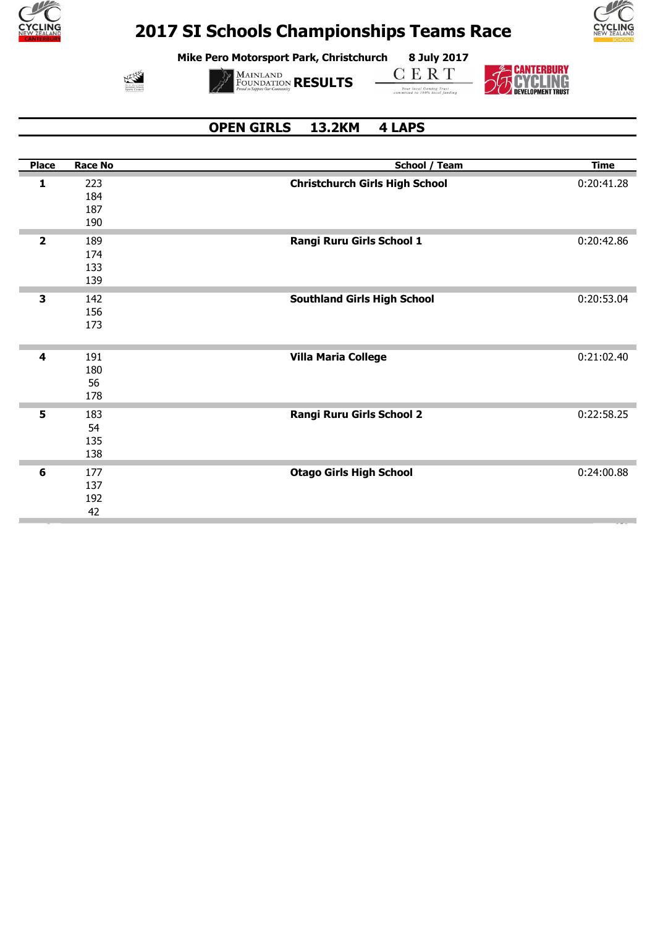

**Mike Pero Motorsport Park, Christchurch 8 July 2017**



**MAINLAND**<br>FOUNDATION **RESULTS** 

**CERT** 

**Tour local Gaming Trust**<br>committed to 100% local funding



### **OPEN GIRLS 13.2KM 4 LAPS**

| <b>Place</b>            | <b>Race No</b> | School / Team                         | <b>Time</b> |
|-------------------------|----------------|---------------------------------------|-------------|
| 1                       | 223            | <b>Christchurch Girls High School</b> | 0:20:41.28  |
|                         | 184            |                                       |             |
|                         | 187            |                                       |             |
|                         | 190            |                                       |             |
| $\overline{\mathbf{2}}$ | 189            | Rangi Ruru Girls School 1             | 0:20:42.86  |
|                         | 174            |                                       |             |
|                         | 133            |                                       |             |
|                         | 139            |                                       |             |
|                         |                |                                       |             |
| 3                       | 142            | <b>Southland Girls High School</b>    | 0:20:53.04  |
|                         | 156            |                                       |             |
|                         | 173            |                                       |             |
|                         |                |                                       |             |
| 4                       | 191            | <b>Villa Maria College</b>            | 0:21:02.40  |
|                         | 180            |                                       |             |
|                         | 56             |                                       |             |
|                         | 178            |                                       |             |
|                         |                |                                       |             |
| 5                       | 183            | Rangi Ruru Girls School 2             | 0:22:58.25  |
|                         | 54             |                                       |             |
|                         | 135            |                                       |             |
|                         | 138            |                                       |             |
| 6                       | 177            | <b>Otago Girls High School</b>        | 0:24:00.88  |
|                         | 137            |                                       |             |
|                         | 192            |                                       |             |
|                         | 42             |                                       |             |
|                         |                |                                       |             |